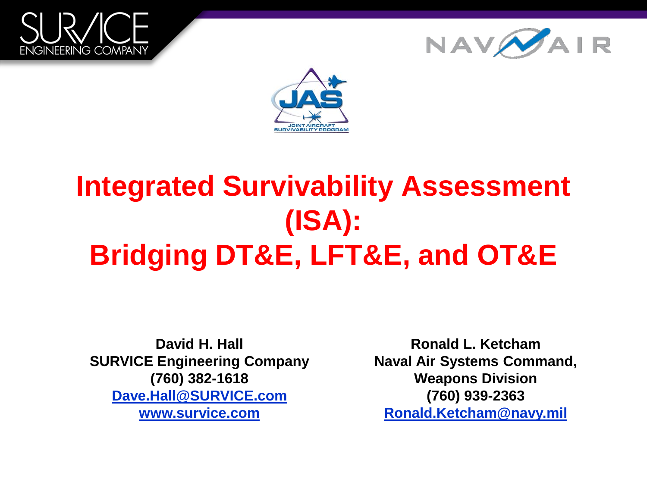





### **Integrated Survivability Assessment (ISA): Bridging DT&E, LFT&E, and OT&E**

**David H. Hall SURVICE Engineering Company (760) 382-1618 [Dave.Hall@SURVICE.com](mailto:Dave.Hall@SURVICE.com) [www.survice.com](http://www.survice.com/)**

**Ronald L. Ketcham Naval Air Systems Command, Weapons Division (760) 939-2363 [Ronald.Ketcham@navy.mil](mailto:Ronald.Ketcham@navy.mil)**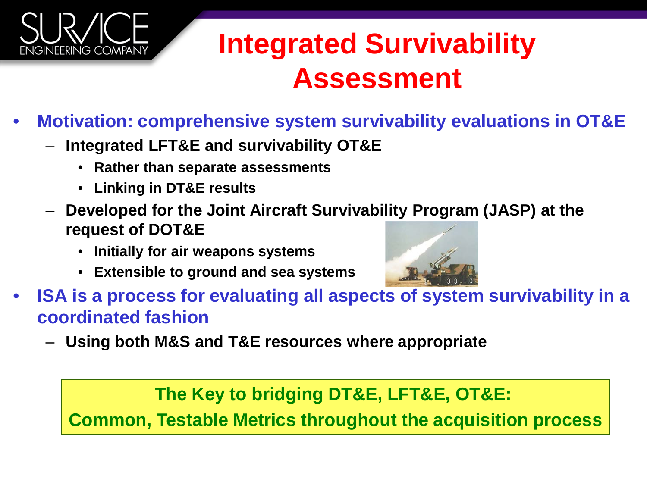

### **Integrated Survivability Assessment**

- **Motivation: comprehensive system survivability evaluations in OT&E**
	- **Integrated LFT&E and survivability OT&E**
		- **Rather than separate assessments**
		- **Linking in DT&E results**
	- **Developed for the Joint Aircraft Survivability Program (JASP) at the request of DOT&E** 
		- **Initially for air weapons systems**
		- **Extensible to ground and sea systems**



- **ISA is a process for evaluating all aspects of system survivability in a coordinated fashion**
	- **Using both M&S and T&E resources where appropriate**

**The Key to bridging DT&E, LFT&E, OT&E:** 

**Common, Testable Metrics throughout the acquisition process**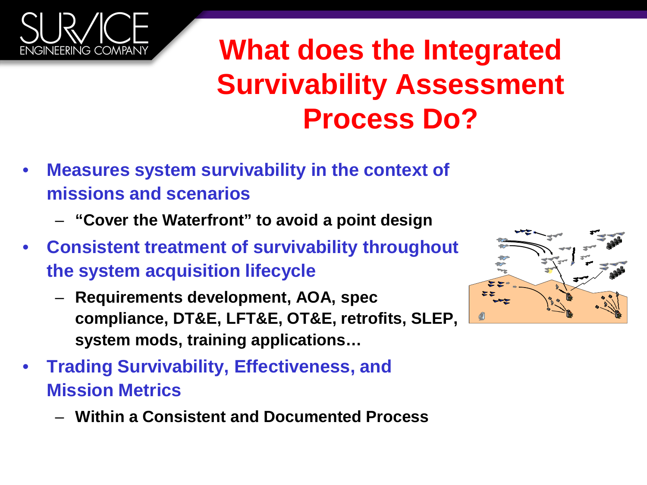

### **What does the Integrated Survivability Assessment Process Do?**

- **Measures system survivability in the context of missions and scenarios**
	- **"Cover the Waterfront" to avoid a point design**
- **Consistent treatment of survivability throughout the system acquisition lifecycle**
	- **Requirements development, AOA, spec compliance, DT&E, LFT&E, OT&E, retrofits, SLEP, system mods, training applications…**
- **Trading Survivability, Effectiveness, and Mission Metrics** 
	- **Within a Consistent and Documented Process**

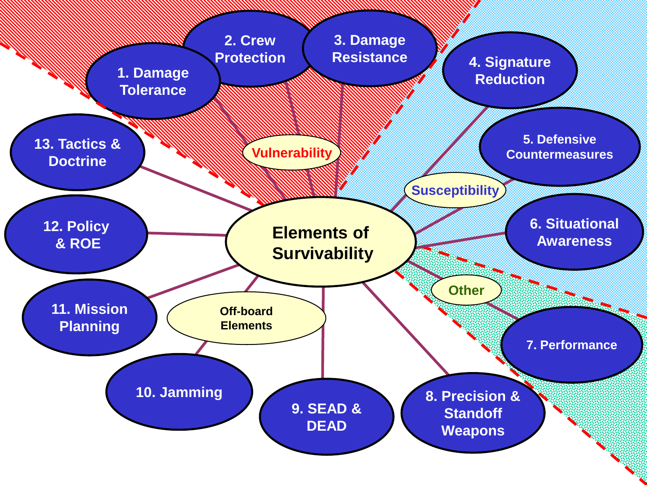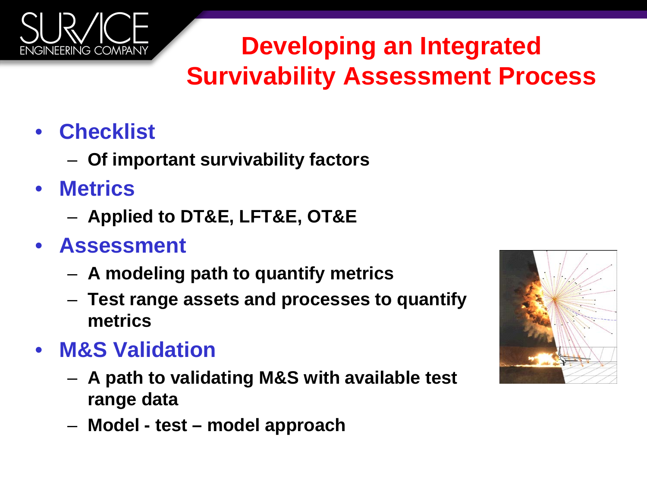

#### **Developing an Integrated Survivability Assessment Process**

- **Checklist** 
	- **Of important survivability factors**
- **Metrics**
	- **Applied to DT&E, LFT&E, OT&E**
- **Assessment**
	- **A modeling path to quantify metrics**
	- **Test range assets and processes to quantify metrics**
- **M&S Validation**
	- **A path to validating M&S with available test range data**
	- **Model - test – model approach**

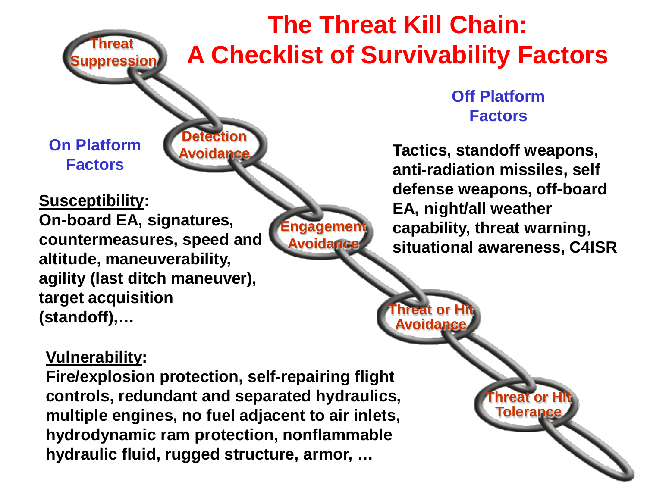#### **The Threat Kill Chain: A Checklist of Survivability Factors**

**On Platform** 

**Threat** 

**pression** 

**Susceptibility:**

**On-board EA, signatures, countermeasures, speed and altitude, maneuverability, agility (last ditch maneuver), target acquisition (standoff),…**

**Engagement Avoidance**

**Off Platform Factors**

**Factors Tactics, standoff weapons, anti-radiation missiles, self defense weapons, off-board EA, night/all weather capability, threat warning, situational awareness, C4ISR**

> **Threat or Hit Tolerance**

**Threat or Hit Avoidance**

#### **Vulnerability:**

**Fire/explosion protection, self-repairing flight controls, redundant and separated hydraulics, multiple engines, no fuel adjacent to air inlets, hydrodynamic ram protection, nonflammable hydraulic fluid, rugged structure, armor, …**

**Detection Avoidance**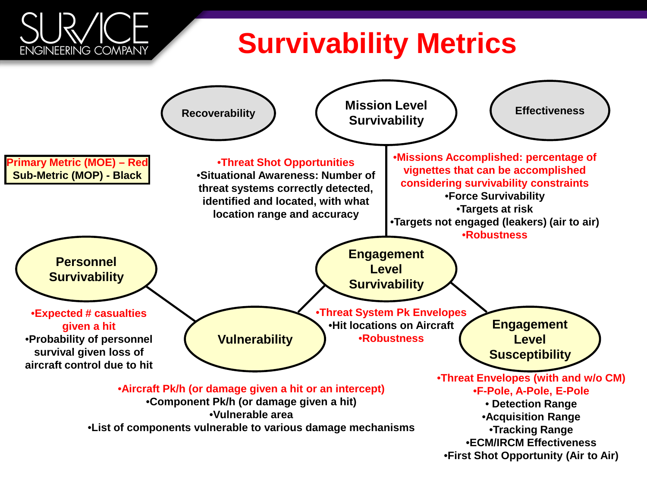#### **Survivability Metrics**

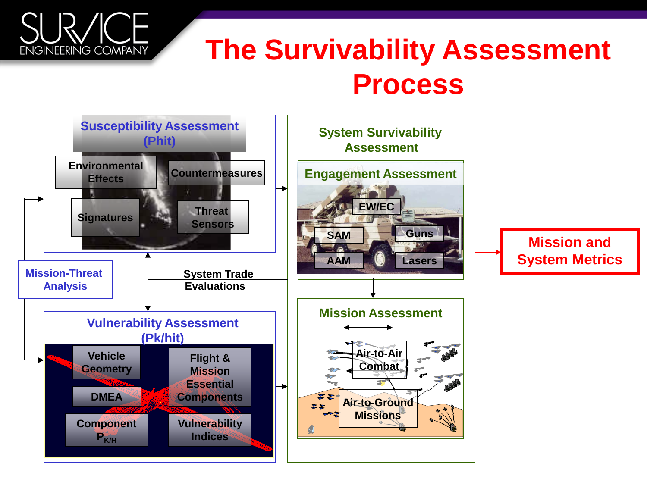#### **The Survivability Assessment Process**

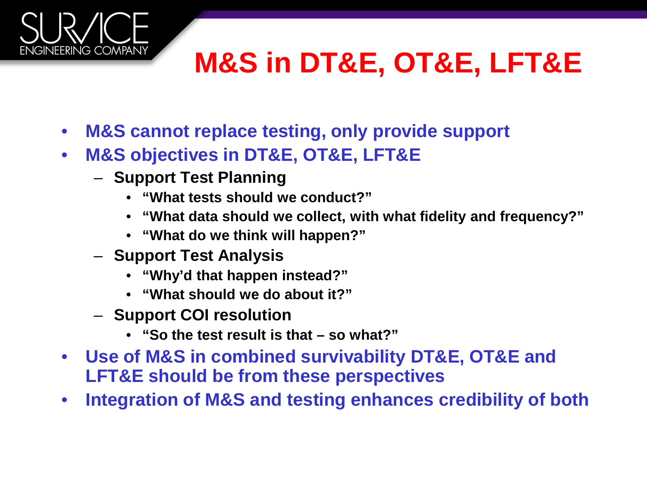# **M&S in DT&E, OT&E, LFT&E**

- **M&S cannot replace testing, only provide support**
- **M&S objectives in DT&E, OT&E, LFT&E**
	- **Support Test Planning**

- **"What tests should we conduct?"**
- **"What data should we collect, with what fidelity and frequency?"**
- **"What do we think will happen?"**
- **Support Test Analysis**
	- **"Why'd that happen instead?"**
	- **"What should we do about it?"**
- **Support COI resolution**
	- **"So the test result is that – so what?"**
- **Use of M&S in combined survivability DT&E, OT&E and LFT&E should be from these perspectives**
- **Integration of M&S and testing enhances credibility of both**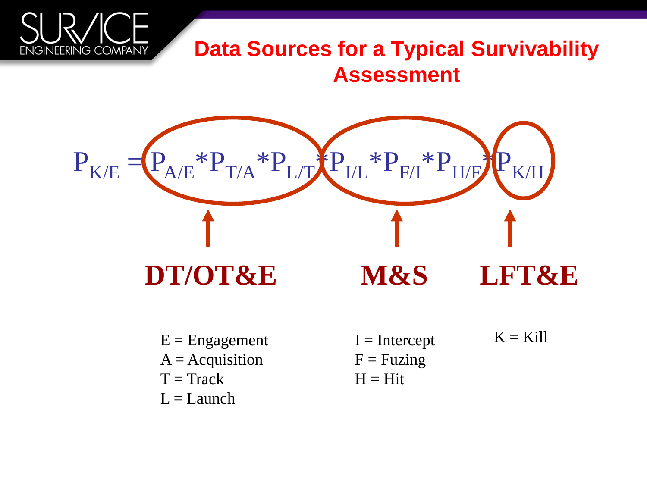#### **Data Sources for a Typical Survivability Assessment**



- $E =$ Engagement
- $A = Ac$ quisition
- $T = \text{Track}$

**ENGINEERING COMPANY** 

 $L =$ Launch

- $I =$ Intercept  $F = Fuzing$  $H = Hit$
- $K =$ Kill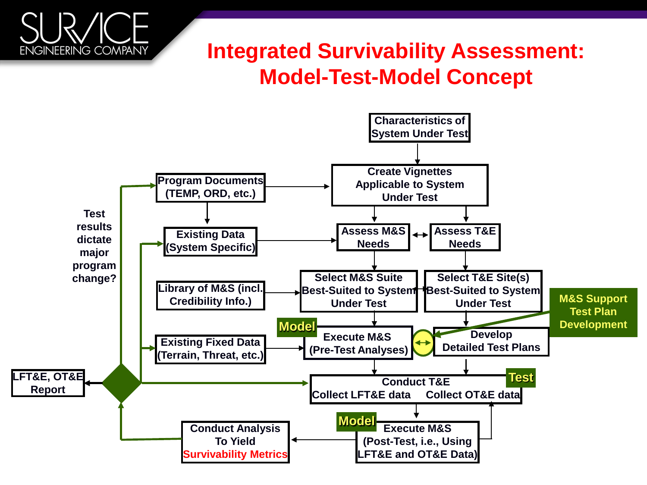#### **Integrated Survivability Assessment: Model-Test-Model Concept**

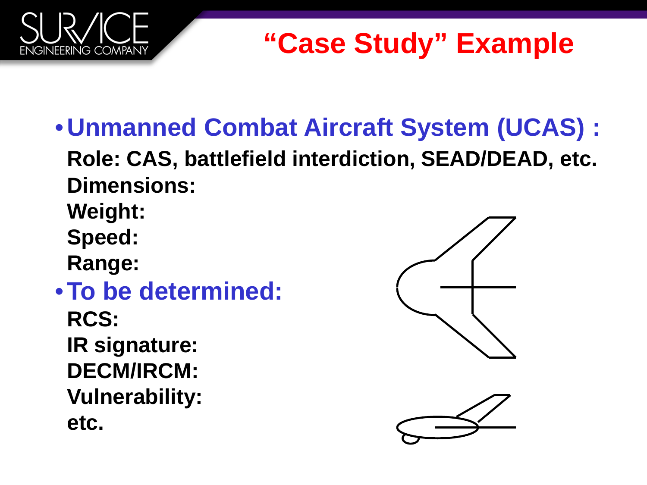

## **"Case Study" Example**

- •**Unmanned Combat Aircraft System (UCAS) : Role: CAS, battlefield interdiction, SEAD/DEAD, etc. Dimensions:**
	- **Weight: Speed:**
	- **Range:**
- •**To be determined: RCS: IR signature: DECM/IRCM: Vulnerability: etc.**

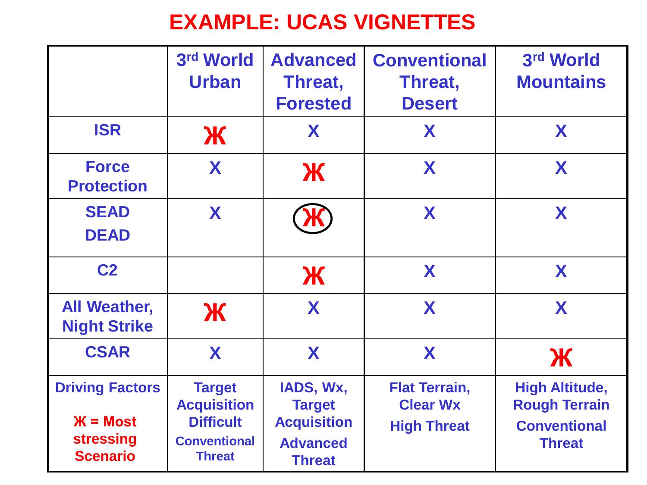#### **EXAMPLE: UCAS VIGNETTES**

|                                                                             | 3rd World<br><b>Urban</b>                                                                       | <b>Advanced</b><br>Threat,<br><b>Forested</b>                                        | <b>Conventional</b><br>Threat,<br><b>Desert</b>               | 3rd World<br><b>Mountains</b>                                                         |  |
|-----------------------------------------------------------------------------|-------------------------------------------------------------------------------------------------|--------------------------------------------------------------------------------------|---------------------------------------------------------------|---------------------------------------------------------------------------------------|--|
| <b>ISR</b>                                                                  | Ж                                                                                               | X                                                                                    | X                                                             | X                                                                                     |  |
| <b>Force</b><br><b>Protection</b>                                           | X                                                                                               | Ж                                                                                    | X                                                             | X                                                                                     |  |
| <b>SEAD</b><br><b>DEAD</b>                                                  | X                                                                                               |                                                                                      | X                                                             | X                                                                                     |  |
| C <sub>2</sub>                                                              |                                                                                                 | Ж                                                                                    | X                                                             | X                                                                                     |  |
| <b>All Weather,</b><br><b>Night Strike</b>                                  | Ж                                                                                               | X                                                                                    | X                                                             | X                                                                                     |  |
| <b>CSAR</b>                                                                 | X                                                                                               | X                                                                                    | X                                                             | Ж                                                                                     |  |
| <b>Driving Factors</b><br>$X = Most$<br><b>stressing</b><br><b>Scenario</b> | <b>Target</b><br><b>Acquisition</b><br><b>Difficult</b><br><b>Conventional</b><br><b>Threat</b> | IADS, Wx,<br><b>Target</b><br><b>Acquisition</b><br><b>Advanced</b><br><b>Threat</b> | <b>Flat Terrain,</b><br><b>Clear Wx</b><br><b>High Threat</b> | <b>High Altitude,</b><br><b>Rough Terrain</b><br><b>Conventional</b><br><b>Threat</b> |  |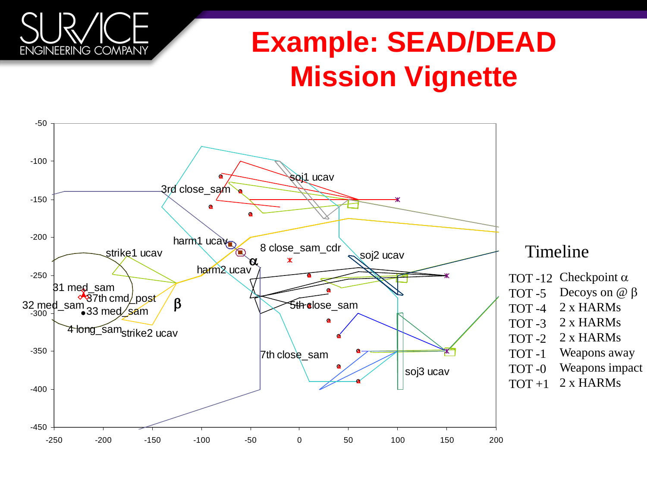# **Example: SEAD/DEAD Mission Vignette**

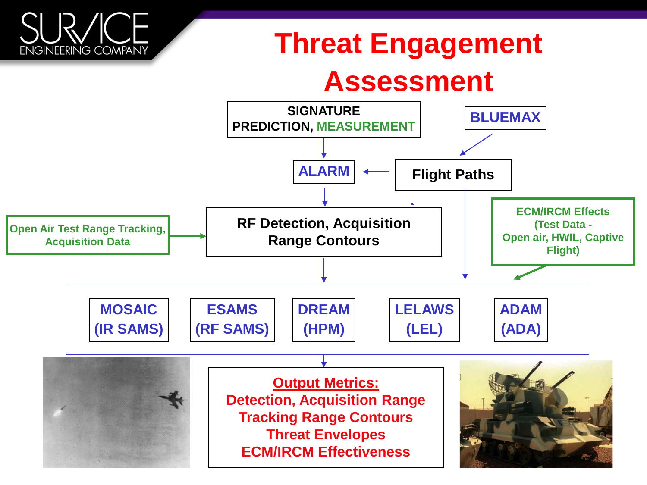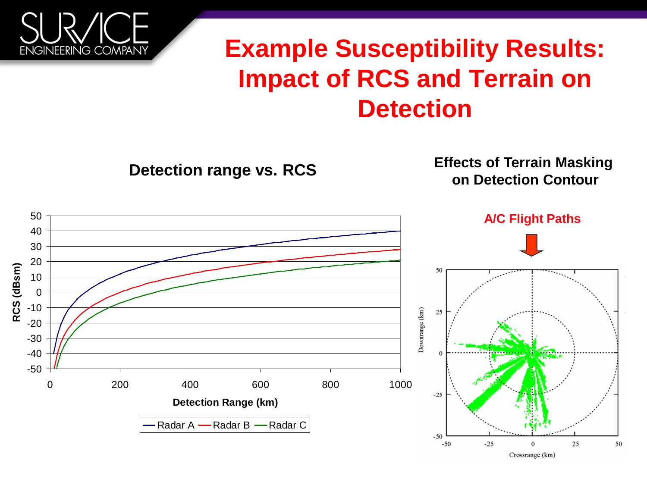

#### **Example Susceptibility Results: Impact of RCS and Terrain on Detection**

**Detection range vs. RCS Effects of Terrain Masking on Detection Contour**

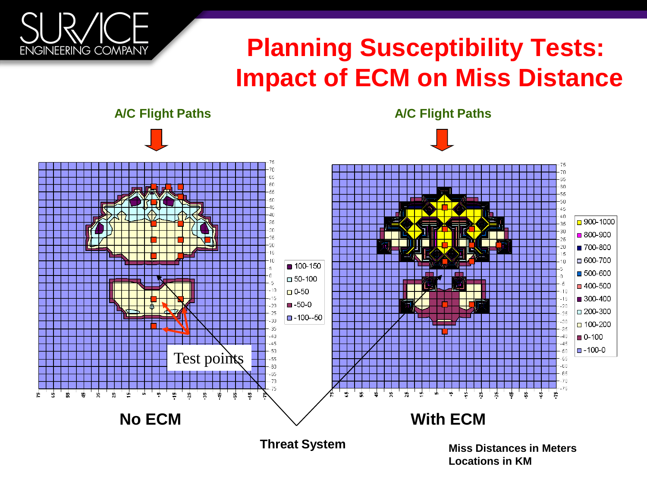

#### **Planning Susceptibility Tests: Impact of ECM on Miss Distance**



**A/C Flight Paths A/C Flight Paths**

**Locations in KM**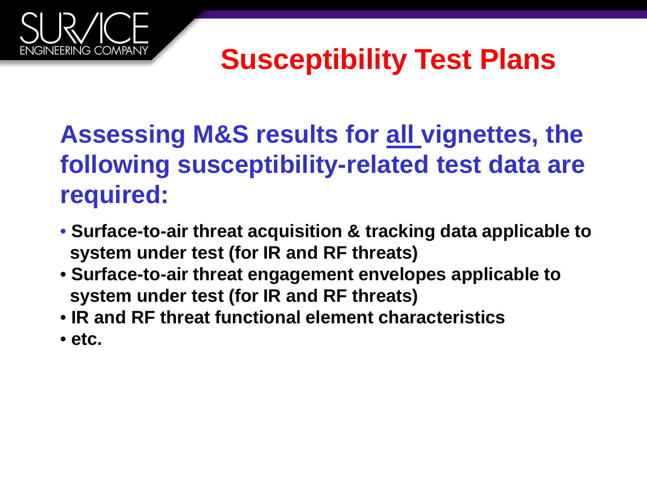# **Susceptibility Test Plans**

#### **Assessing M&S results for all vignettes, the following susceptibility-related test data are required:**

- **Surface-to-air threat acquisition & tracking data applicable to system under test (for IR and RF threats)**
- **Surface-to-air threat engagement envelopes applicable to system under test (for IR and RF threats)**
- **IR and RF threat functional element characteristics**
- **etc.**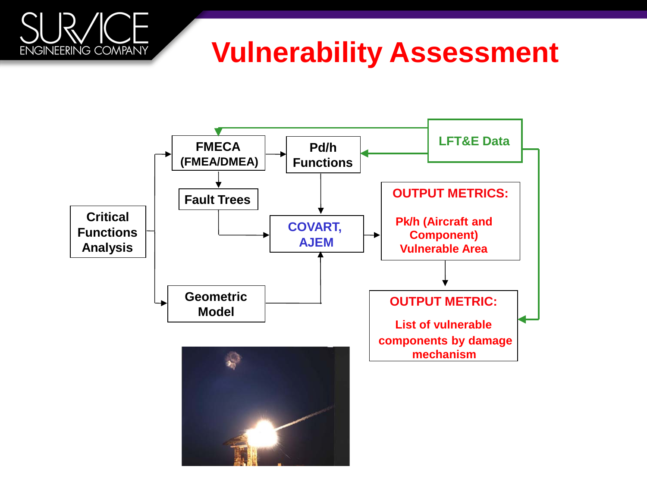# **ENGINEERING COMPANY**

#### **Vulnerability Assessment**

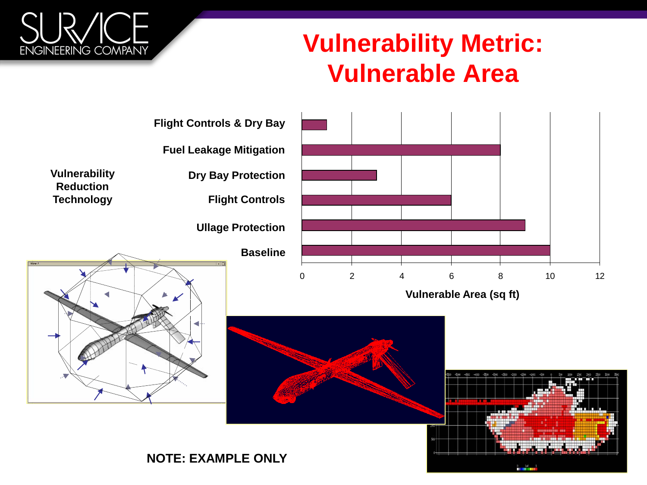

#### **Vulnerability Metric: Vulnerable Area**

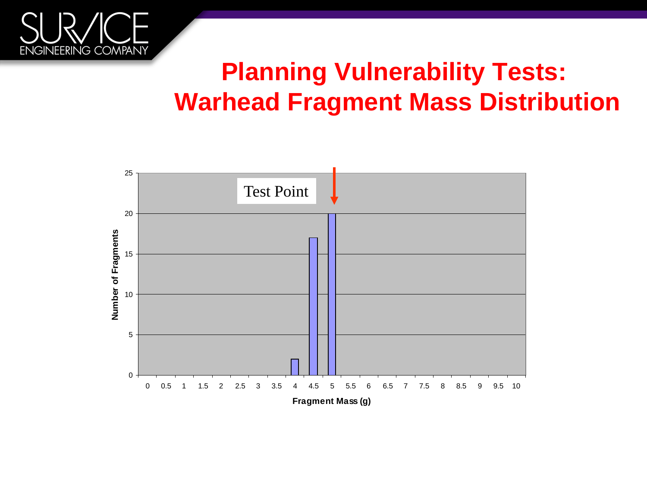

#### **Planning Vulnerability Tests: Warhead Fragment Mass Distribution**

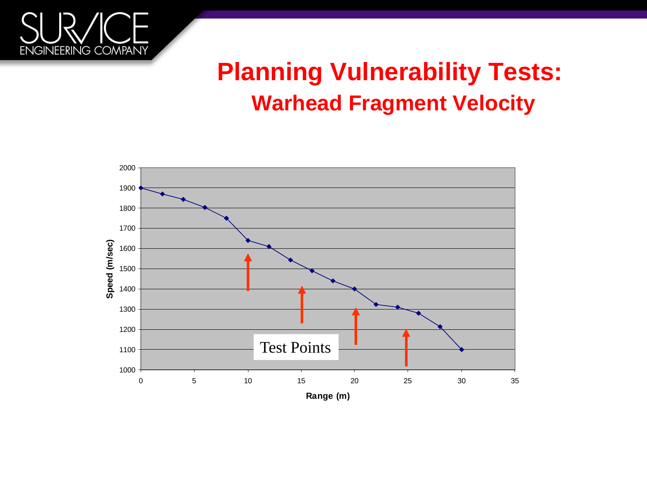

#### **Planning Vulnerability Tests: Warhead Fragment Velocity**

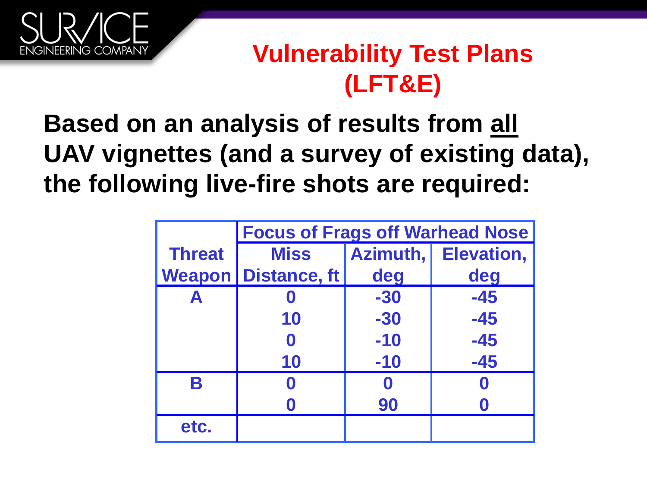

#### **Vulnerability Test Plans (LFT&E)**

#### **Based on an analysis of results from all UAV vignettes (and a survey of existing data), the following live-fire shots are required:**

|               | <b>Focus of Frags off Warhead Nose</b> |       |                     |  |  |  |
|---------------|----------------------------------------|-------|---------------------|--|--|--|
| <b>Threat</b> | <b>Miss</b>                            |       | Azimuth, Elevation, |  |  |  |
|               | <b>Weapon   Distance, ft</b>           | deg   | deg                 |  |  |  |
| Α             |                                        | $-30$ | $-45$               |  |  |  |
|               | 10                                     | $-30$ | $-45$               |  |  |  |
|               |                                        | $-10$ | $-45$               |  |  |  |
|               | 10                                     | $-10$ | $-45$               |  |  |  |
| R             |                                        |       |                     |  |  |  |
|               |                                        | 90    |                     |  |  |  |
| etc.          |                                        |       |                     |  |  |  |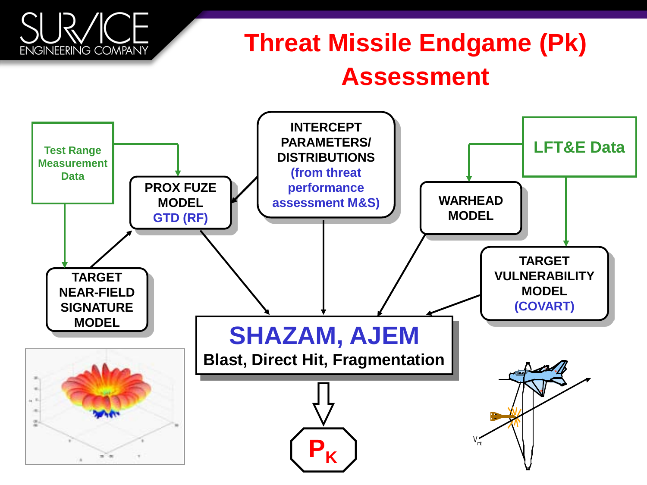#### **Threat Missile Endgame (Pk) Assessment**

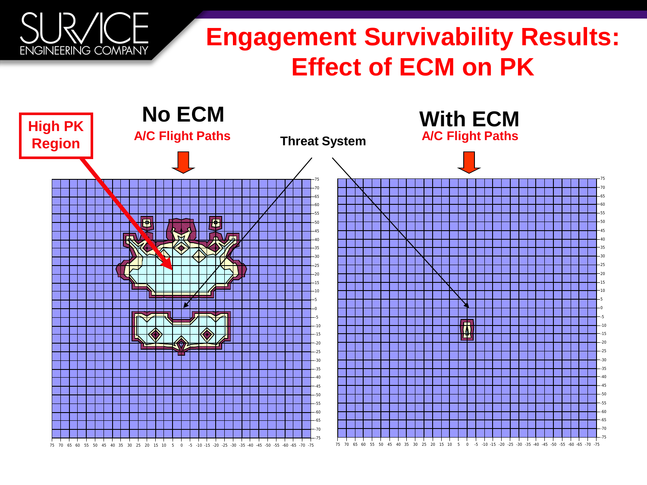#### **Engagement Survivability Results: Effect of ECM on PK**

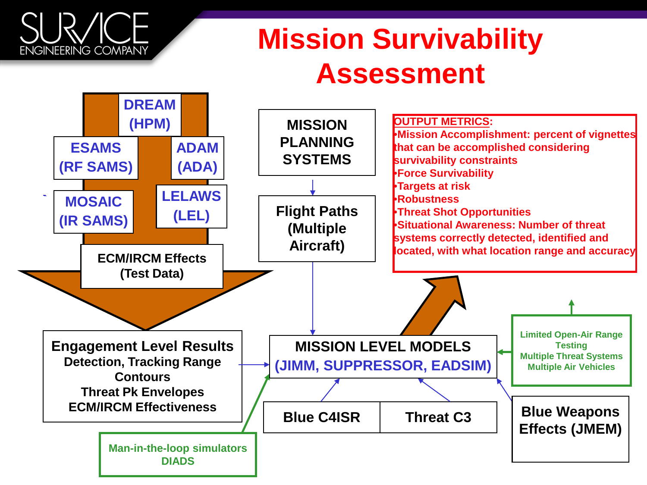# ENGINEERING COMPANY

### **Mission Survivability Assessment**

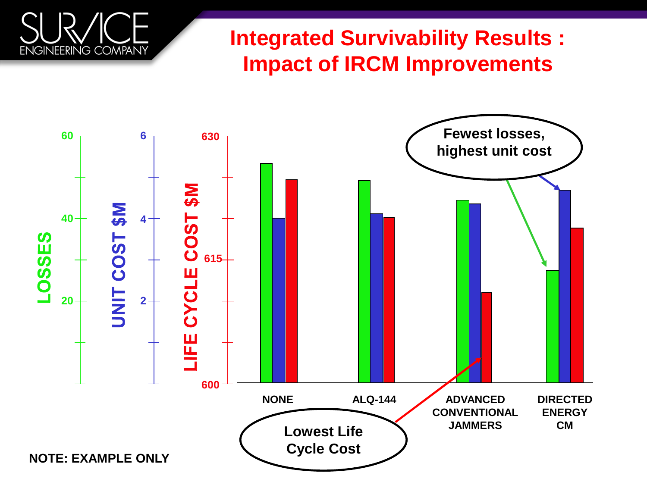#### **Integrated Survivability Results : Impact of IRCM Improvements**

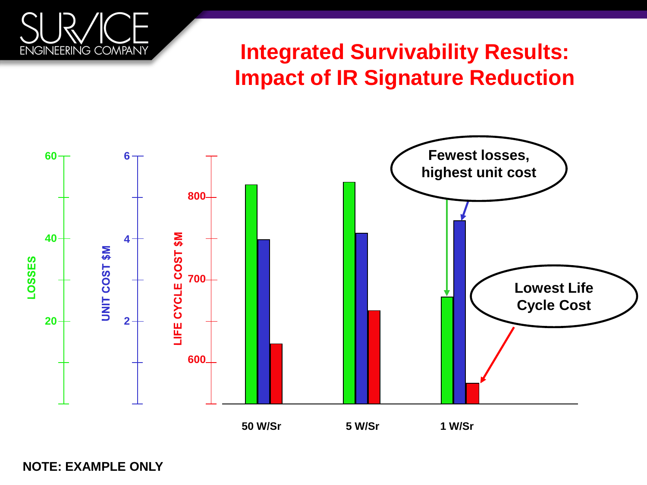

**Integrated Survivability Results: Impact of IR Signature Reduction**



**NOTE: EXAMPLE ONLY**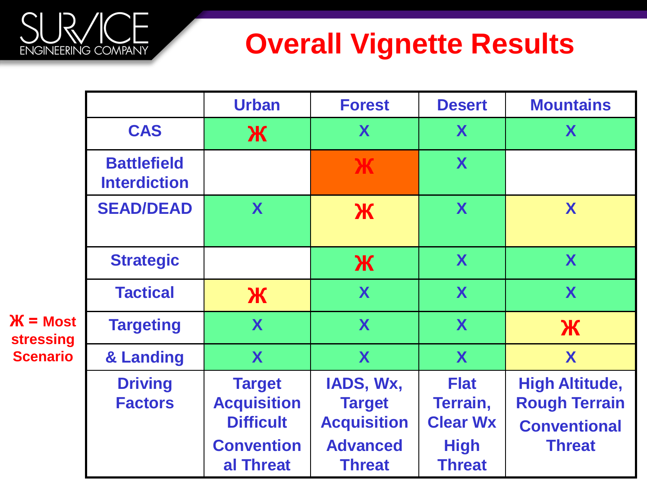# **Overall Vignette Results**

|                                                            |                                           | <b>Urban</b>                                                                              | <b>Forest</b>                                                                        | <b>Desert</b>                                                              | <b>Mountains</b>                                                                      |
|------------------------------------------------------------|-------------------------------------------|-------------------------------------------------------------------------------------------|--------------------------------------------------------------------------------------|----------------------------------------------------------------------------|---------------------------------------------------------------------------------------|
|                                                            | <b>CAS</b>                                | Ж                                                                                         | X                                                                                    | X                                                                          | X                                                                                     |
|                                                            | <b>Battlefield</b><br><b>Interdiction</b> |                                                                                           | Ж                                                                                    | X                                                                          |                                                                                       |
| $\mathbf{K}$ = Most<br><b>stressing</b><br><b>Scenario</b> | <b>SEAD/DEAD</b>                          | X                                                                                         | Ж                                                                                    | X                                                                          | X                                                                                     |
|                                                            | <b>Strategic</b>                          |                                                                                           | Ж                                                                                    | X                                                                          | X                                                                                     |
|                                                            | <b>Tactical</b>                           | Ж                                                                                         | X                                                                                    | X                                                                          | X                                                                                     |
|                                                            | <b>Targeting</b>                          | X                                                                                         | X                                                                                    | X                                                                          | Ж                                                                                     |
|                                                            | & Landing                                 | X                                                                                         | X                                                                                    | X                                                                          | X                                                                                     |
|                                                            | <b>Driving</b><br><b>Factors</b>          | <b>Target</b><br><b>Acquisition</b><br><b>Difficult</b><br><b>Convention</b><br>al Threat | IADS, Wx,<br><b>Target</b><br><b>Acquisition</b><br><b>Advanced</b><br><b>Threat</b> | <b>Flat</b><br>Terrain,<br><b>Clear Wx</b><br><b>High</b><br><b>Threat</b> | <b>High Altitude,</b><br><b>Rough Terrain</b><br><b>Conventional</b><br><b>Threat</b> |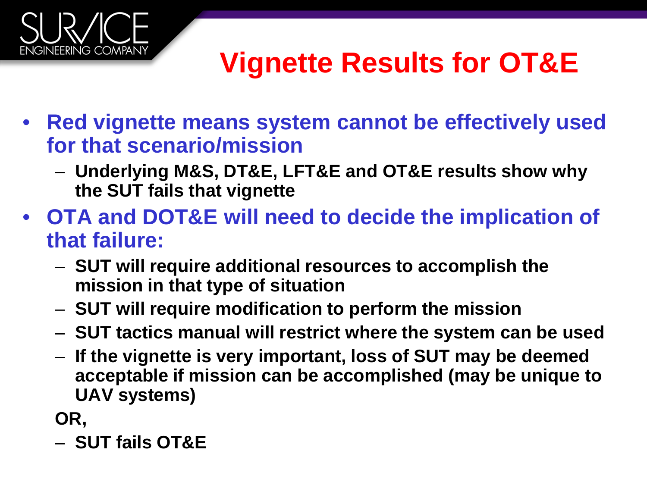

### **Vignette Results for OT&E**

- **Red vignette means system cannot be effectively used for that scenario/mission**
	- **Underlying M&S, DT&E, LFT&E and OT&E results show why the SUT fails that vignette**
- **OTA and DOT&E will need to decide the implication of that failure:**
	- **SUT will require additional resources to accomplish the mission in that type of situation**
	- **SUT will require modification to perform the mission**
	- **SUT tactics manual will restrict where the system can be used**
	- **If the vignette is very important, loss of SUT may be deemed acceptable if mission can be accomplished (may be unique to UAV systems)**

**OR,** 

– **SUT fails OT&E**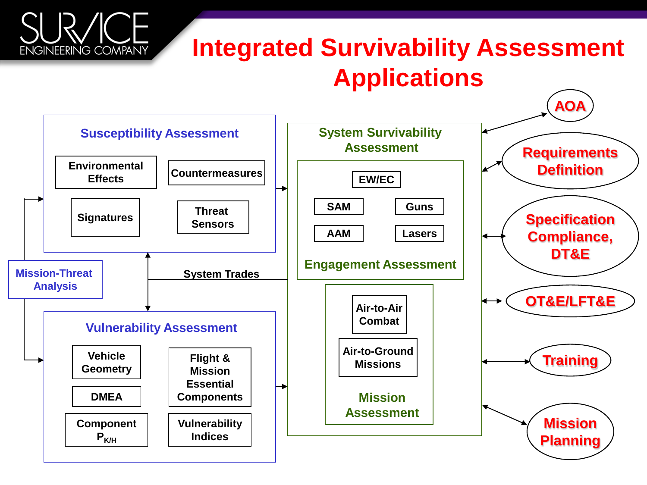#### **Integrated Survivability Assessment Applications**

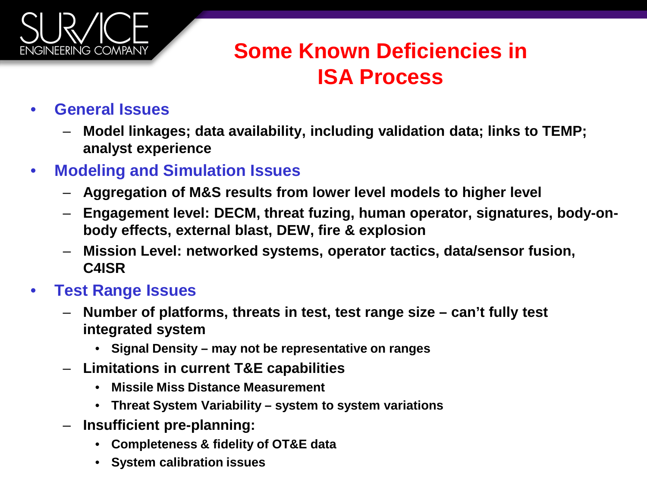

#### **Some Known Deficiencies in ISA Process**

- **General Issues**
	- **Model linkages; data availability, including validation data; links to TEMP; analyst experience**
- **Modeling and Simulation Issues** 
	- **Aggregation of M&S results from lower level models to higher level**
	- **Engagement level: DECM, threat fuzing, human operator, signatures, body-onbody effects, external blast, DEW, fire & explosion**
	- **Mission Level: networked systems, operator tactics, data/sensor fusion, C4ISR**

#### • **Test Range Issues**

- **Number of platforms, threats in test, test range size – can't fully test integrated system** 
	- **Signal Density – may not be representative on ranges**
- **Limitations in current T&E capabilities**
	- **Missile Miss Distance Measurement**
	- **Threat System Variability – system to system variations**
- **Insufficient pre-planning:** 
	- **Completeness & fidelity of OT&E data**
	- **System calibration issues**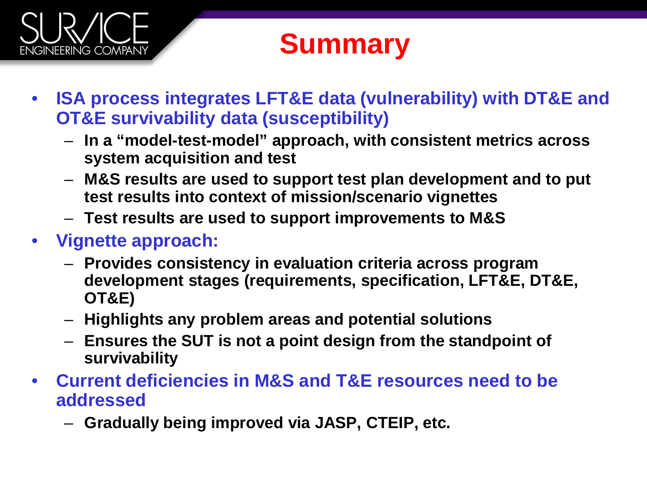# **ENGINEERING COMPANY**

#### **Summary**

- **ISA process integrates LFT&E data (vulnerability) with DT&E and OT&E survivability data (susceptibility)**
	- **In a "model-test-model" approach, with consistent metrics across system acquisition and test**
	- **M&S results are used to support test plan development and to put test results into context of mission/scenario vignettes**
	- **Test results are used to support improvements to M&S**
- **Vignette approach:**
	- **Provides consistency in evaluation criteria across program development stages (requirements, specification, LFT&E, DT&E, OT&E)**
	- **Highlights any problem areas and potential solutions**
	- **Ensures the SUT is not a point design from the standpoint of survivability**
- **Current deficiencies in M&S and T&E resources need to be addressed**
	- **Gradually being improved via JASP, CTEIP, etc.**